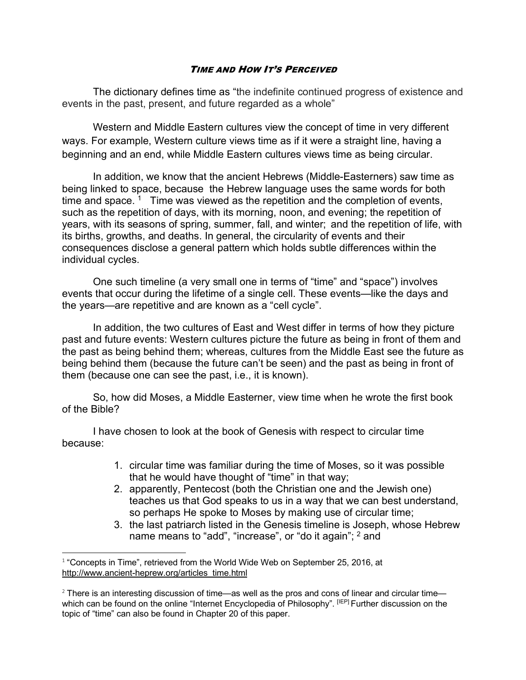## TIME AND HOW IT'S PERCEIVED

The dictionary defines time as "the indefinite continued progress of existence and events in the past, present, and future regarded as a whole"

Western and Middle Eastern cultures view the concept of time in very different ways. For example, Western culture views time as if it were a straight line, having a beginning and an end, while Middle Eastern cultures views time as being circular.

In addition, we know that the ancient Hebrews (Middle-Easterners) saw time as being linked to space, because the Hebrew language uses the same words for both time and space.  $1$  Time was viewed as the repetition and the completion of events, such as the repetition of days, with its morning, noon, and evening; the repetition of years, with its seasons of spring, summer, fall, and winter; and the repetition of life, with its births, growths, and deaths. In general, the circularity of events and their consequences disclose a general pattern which holds subtle differences within the individual cycles.

One such timeline (a very small one in terms of "time" and "space") involves events that occur during the lifetime of a single cell. These events—like the days and the years—are repetitive and are known as a "cell cycle".

In addition, the two cultures of East and West differ in terms of how they picture past and future events: Western cultures picture the future as being in front of them and the past as being behind them; whereas, cultures from the Middle East see the future as being behind them (because the future can't be seen) and the past as being in front of them (because one can see the past, i.e., it is known).

So, how did Moses, a Middle Easterner, view time when he wrote the first book of the Bible?

I have chosen to look at the book of Genesis with respect to circular time because:

- 1. circular time was familiar during the time of Moses, so it was possible that he would have thought of "time" in that way;
- 2. apparently, Pentecost (both the Christian one and the Jewish one) teaches us that God speaks to us in a way that we can best understand, so perhaps He spoke to Moses by making use of circular time;
- 3. the last patriarch listed in the Genesis timeline is Joseph, whose Hebrew name means to "add", "increase", or "do it again";  $<sup>2</sup>$  and</sup>

 $1$  "Concepts in Time", retrieved from the World Wide Web on September 25, 2016, at http://www.ancient-heprew.org/articles\_time.html

 $2$  There is an interesting discussion of time—as well as the pros and cons of linear and circular time which can be found on the online "Internet Encyclopedia of Philosophy". [IEP] Further discussion on the topic of "time" can also be found in Chapter 20 of this paper.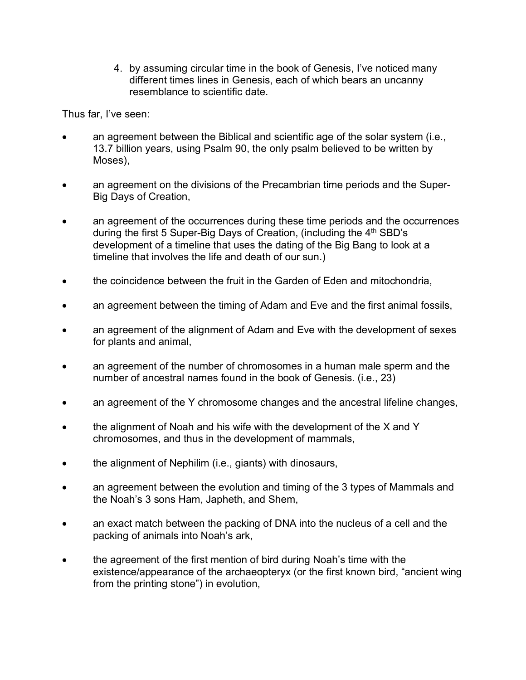4. by assuming circular time in the book of Genesis, I've noticed many different times lines in Genesis, each of which bears an uncanny resemblance to scientific date.

Thus far, I've seen:

- an agreement between the Biblical and scientific age of the solar system (i.e., 13.7 billion years, using Psalm 90, the only psalm believed to be written by Moses),
- an agreement on the divisions of the Precambrian time periods and the Super-Big Days of Creation,
- an agreement of the occurrences during these time periods and the occurrences during the first 5 Super-Big Days of Creation, (including the  $4<sup>th</sup>$  SBD's development of a timeline that uses the dating of the Big Bang to look at a timeline that involves the life and death of our sun.)
- the coincidence between the fruit in the Garden of Eden and mitochondria,
- an agreement between the timing of Adam and Eve and the first animal fossils,
- an agreement of the alignment of Adam and Eve with the development of sexes for plants and animal,
- an agreement of the number of chromosomes in a human male sperm and the number of ancestral names found in the book of Genesis. (i.e., 23)
- an agreement of the Y chromosome changes and the ancestral lifeline changes,
- the alignment of Noah and his wife with the development of the X and Y chromosomes, and thus in the development of mammals,
- the alignment of Nephilim (i.e., giants) with dinosaurs,
- an agreement between the evolution and timing of the 3 types of Mammals and the Noah's 3 sons Ham, Japheth, and Shem,
- an exact match between the packing of DNA into the nucleus of a cell and the packing of animals into Noah's ark,
- the agreement of the first mention of bird during Noah's time with the existence/appearance of the archaeopteryx (or the first known bird, "ancient wing from the printing stone") in evolution,